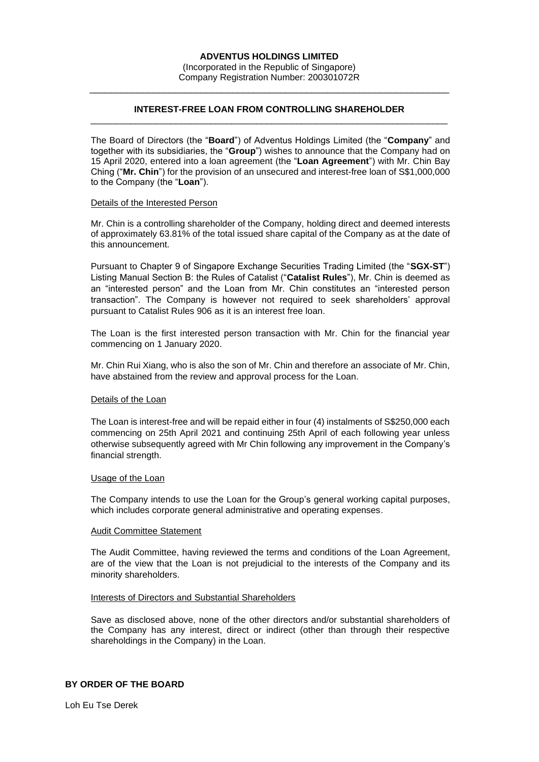# **INTEREST-FREE LOAN FROM CONTROLLING SHAREHOLDER** \_\_\_\_\_\_\_\_\_\_\_\_\_\_\_\_\_\_\_\_\_\_\_\_\_\_\_\_\_\_\_\_\_\_\_\_\_\_\_\_\_\_\_\_\_\_\_\_\_\_\_\_\_\_\_\_\_\_\_\_\_\_\_\_\_\_\_\_\_\_\_

\_\_\_\_\_\_\_\_\_\_\_\_\_\_\_\_\_\_\_\_\_\_\_\_\_\_\_\_\_\_\_\_\_\_\_\_\_\_\_\_\_\_\_\_\_\_\_\_\_\_\_\_\_\_\_\_\_\_\_\_\_\_\_\_\_\_\_\_

The Board of Directors (the "**Board**") of Adventus Holdings Limited (the "**Company**" and together with its subsidiaries, the "**Group**") wishes to announce that the Company had on 15 April 2020, entered into a loan agreement (the "**Loan Agreement**") with Mr. Chin Bay Ching ("**Mr. Chin**") for the provision of an unsecured and interest-free loan of S\$1,000,000 to the Company (the "**Loan**").

# Details of the Interested Person

Mr. Chin is a controlling shareholder of the Company, holding direct and deemed interests of approximately 63.81% of the total issued share capital of the Company as at the date of this announcement.

Pursuant to Chapter 9 of Singapore Exchange Securities Trading Limited (the "**SGX-ST**") Listing Manual Section B: the Rules of Catalist ("**Catalist Rules**"), Mr. Chin is deemed as an "interested person" and the Loan from Mr. Chin constitutes an "interested person transaction". The Company is however not required to seek shareholders' approval pursuant to Catalist Rules 906 as it is an interest free loan.

The Loan is the first interested person transaction with Mr. Chin for the financial year commencing on 1 January 2020.

Mr. Chin Rui Xiang, who is also the son of Mr. Chin and therefore an associate of Mr. Chin, have abstained from the review and approval process for the Loan.

### Details of the Loan

The Loan is interest-free and will be repaid either in four (4) instalments of S\$250,000 each commencing on 25th April 2021 and continuing 25th April of each following year unless otherwise subsequently agreed with Mr Chin following any improvement in the Company's financial strength.

### Usage of the Loan

The Company intends to use the Loan for the Group's general working capital purposes, which includes corporate general administrative and operating expenses.

### Audit Committee Statement

The Audit Committee, having reviewed the terms and conditions of the Loan Agreement, are of the view that the Loan is not prejudicial to the interests of the Company and its minority shareholders.

### Interests of Directors and Substantial Shareholders

Save as disclosed above, none of the other directors and/or substantial shareholders of the Company has any interest, direct or indirect (other than through their respective shareholdings in the Company) in the Loan.

# **BY ORDER OF THE BOARD**

Loh Eu Tse Derek